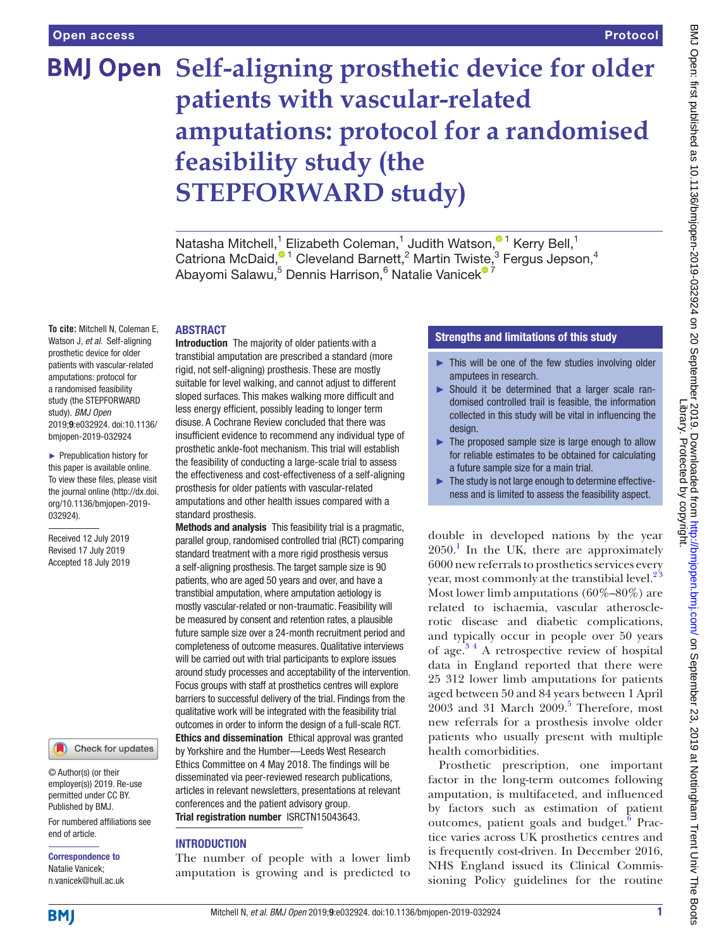# **BMJ Open Self-aligning prosthetic device for older patients with vascular-related amputations: protocol for a randomised feasibility study (the STEPFORWARD study)**

Natasha Mitchell,<sup>1</sup> Elizabeth Coleman,<sup>1</sup> Judith Watson,<sup>01</sup> Kerry Bell,<sup>1</sup> Catriona McDaid,<sup>®1</sup> Cleveland Barnett,<sup>2</sup> Martin Twiste,<sup>[3](http://orcid.org/0000-0003-0694-3854)</sup> Fergus Jepson,<sup>4</sup> Abayomi Salawu,<sup>[5](http://orcid.org/0000-0002-3751-7260)</sup> Dennis Harrison,<sup>6</sup> Natalie Vanicek®<sup>7</sup>

#### **ABSTRACT**

**To cite:** Mitchell N, Coleman E, Watson J, *et al*. Self-aligning prosthetic device for older patients with vascular-related amputations: protocol for a randomised feasibility study (the STEPFORWARD study). *BMJ Open* 2019;9:e032924. doi:10.1136/ bmjopen-2019-032924

► Prepublication history for this paper is available online. To view these files, please visit the journal online (http://dx.doi. org/10.1136/bmjopen-2019- 032924).

Received 12 July 2019 Revised 17 July 2019 Accepted 18 July 2019

#### Check for updates

© Author(s) (or their employer(s)) 2019. Re-use permitted under CC BY. Published by BMJ.

For numbered affiliations see end of article.

Correspondence to Natalie Vanicek; n.vanicek@hull.ac.uk Introduction The majority of older patients with a transtibial amputation are prescribed a standard (more rigid, not self-aligning) prosthesis. These are mostly suitable for level walking, and cannot adjust to different sloped surfaces. This makes walking more difficult and less energy efficient, possibly leading to longer term disuse. A Cochrane Review concluded that there was insufficient evidence to recommend any individual type of prosthetic ankle-foot mechanism. This trial will establish the feasibility of conducting a large-scale trial to assess the effectiveness and cost-effectiveness of a self-aligning prosthesis for older patients with vascular-related amputations and other health issues compared with a standard prosthesis.

Methods and analysis This feasibility trial is a pragmatic, parallel group, randomised controlled trial (RCT) comparing standard treatment with a more rigid prosthesis versus a self-aligning prosthesis. The target sample size is 90 patients, who are aged 50 years and over, and have a transtibial amputation, where amputation aetiology is mostly vascular-related or non-traumatic. Feasibility will be measured by consent and retention rates, a plausible future sample size over a 24-month recruitment period and completeness of outcome measures. Qualitative interviews will be carried out with trial participants to explore issues around study processes and acceptability of the intervention. Focus groups with staff at prosthetics centres will explore barriers to successful delivery of the trial. Findings from the qualitative work will be integrated with the feasibility trial outcomes in order to inform the design of a full-scale RCT. Ethics and dissemination Ethical approval was granted by Yorkshire and the Humber—Leeds West Research Ethics Committee on 4 May 2018. The findings will be disseminated via peer-reviewed research publications, articles in relevant newsletters, presentations at relevant conferences and the patient advisory group. Trial registration number <ISRCTN15043643>.

#### **INTRODUCTION**

The number of people with a lower limb amputation is growing and is predicted to

#### Strengths and limitations of this study

- ► This will be one of the few studies involving older amputees in research.
- Should it be determined that a larger scale randomised controlled trail is feasible, the information collected in this study will be vital in influencing the design.
- $\blacktriangleright$  The proposed sample size is large enough to allow for reliable estimates to be obtained for calculating a future sample size for a main trial.
- $\blacktriangleright$  The study is not large enough to determine effectiveness and is limited to assess the feasibility aspect.

double in developed nations by the year  $2050$ .<sup>[1](#page-6-0)</sup> In the UK, there are approximately 6000 new referrals to prosthetics services every year, most commonly at the transtibial level.<sup>23</sup> Most lower limb amputations (60%–80%) are related to ischaemia, vascular atherosclerotic disease and diabetic complications, and typically occur in people over 50 years of age.<sup>34</sup> A retrospective review of hospital data in England reported that there were 25 312 lower limb amputations for patients aged between 50 and 84 years between 1 April 2003 and 31 March 2009.<sup>[5](#page-6-3)</sup> Therefore, most new referrals for a prosthesis involve older patients who usually present with multiple health comorbidities.

Prosthetic prescription, one important factor in the long-term outcomes following amputation, is multifaceted, and influenced by factors such as estimation of patient outcomes, patient goals and budget. $6$  Practice varies across UK prosthetics centres and is frequently cost-driven. In December 2016, NHS England issued its Clinical Commissioning Policy guidelines for the routine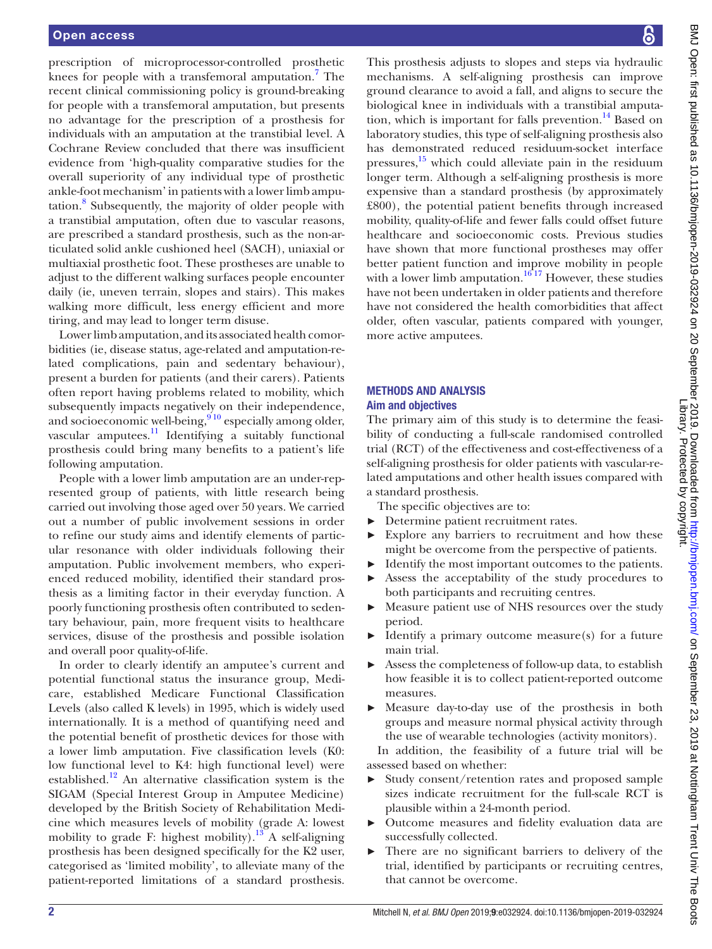prescription of microprocessor-controlled prosthetic knees for people with a transfemoral amputation.<sup>[7](#page-7-0)</sup> The recent clinical commissioning policy is ground-breaking for people with a transfemoral amputation, but presents no advantage for the prescription of a prosthesis for individuals with an amputation at the transtibial level. A Cochrane Review concluded that there was insufficient evidence from 'high-quality comparative studies for the overall superiority of any individual type of prosthetic ankle-foot mechanism' in patients with a lower limb ampu-tation.<sup>[8](#page-7-1)</sup> Subsequently, the majority of older people with a transtibial amputation, often due to vascular reasons, are prescribed a standard prosthesis, such as the non-articulated solid ankle cushioned heel (SACH), uniaxial or multiaxial prosthetic foot. These prostheses are unable to adjust to the different walking surfaces people encounter daily (ie, uneven terrain, slopes and stairs). This makes walking more difficult, less energy efficient and more tiring, and may lead to longer term disuse.

Lower limb amputation, and its associated health comorbidities (ie, disease status, age-related and amputation-related complications, pain and sedentary behaviour), present a burden for patients (and their carers). Patients often report having problems related to mobility, which subsequently impacts negatively on their independence, and socioeconomic well-being,  $910$  especially among older, vascular amputees. $\frac{11}{11}$  Identifying a suitably functional prosthesis could bring many benefits to a patient's life following amputation.

People with a lower limb amputation are an under-represented group of patients, with little research being carried out involving those aged over 50 years. We carried out a number of public involvement sessions in order to refine our study aims and identify elements of particular resonance with older individuals following their amputation. Public involvement members, who experienced reduced mobility, identified their standard prosthesis as a limiting factor in their everyday function. A poorly functioning prosthesis often contributed to sedentary behaviour, pain, more frequent visits to healthcare services, disuse of the prosthesis and possible isolation and overall poor quality-of-life.

In order to clearly identify an amputee's current and potential functional status the insurance group, Medicare, established Medicare Functional Classification Levels (also called K levels) in 1995, which is widely used internationally. It is a method of quantifying need and the potential benefit of prosthetic devices for those with a lower limb amputation. Five classification levels (K0: low functional level to K4: high functional level) were established.<sup>12</sup> An alternative classification system is the SIGAM (Special Interest Group in Amputee Medicine) developed by the British Society of Rehabilitation Medicine which measures levels of mobility (grade A: lowest mobility to grade F: highest mobility).<sup>13</sup> A self-aligning prosthesis has been designed specifically for the K2 user, categorised as 'limited mobility', to alleviate many of the patient-reported limitations of a standard prosthesis.

This prosthesis adjusts to slopes and steps via hydraulic mechanisms. A self-aligning prosthesis can improve ground clearance to avoid a fall, and aligns to secure the biological knee in individuals with a transtibial amputation, which is important for falls prevention.<sup>14</sup> Based on laboratory studies, this type of self-aligning prosthesis also has demonstrated reduced residuum-socket interface pressures,<sup>15</sup> which could alleviate pain in the residuum longer term. Although a self-aligning prosthesis is more expensive than a standard prosthesis (by approximately £800), the potential patient benefits through increased mobility, quality-of-life and fewer falls could offset future healthcare and socioeconomic costs. Previous studies have shown that more functional prostheses may offer better patient function and improve mobility in people with a lower limb amputation.<sup>1617</sup> However, these studies have not been undertaken in older patients and therefore have not considered the health comorbidities that affect older, often vascular, patients compared with younger, more active amputees.

#### Methods and analysis Aim and objectives

The primary aim of this study is to determine the feasibility of conducting a full-scale randomised controlled trial (RCT) of the effectiveness and cost-effectiveness of a self-aligning prosthesis for older patients with vascular-related amputations and other health issues compared with a standard prosthesis.

The specific objectives are to:

- ► Determine patient recruitment rates.
- Explore any barriers to recruitment and how these might be overcome from the perspective of patients.
- ► Identify the most important outcomes to the patients.
- Assess the acceptability of the study procedures to both participants and recruiting centres.
- ► Measure patient use of NHS resources over the study period.
- Identify a primary outcome measure(s) for a future main trial.
- ► Assess the completeness of follow-up data, to establish how feasible it is to collect patient-reported outcome measures.
- Measure day-to-day use of the prosthesis in both groups and measure normal physical activity through the use of wearable technologies (activity monitors).

In addition, the feasibility of a future trial will be assessed based on whether:

- ► Study consent/retention rates and proposed sample sizes indicate recruitment for the full-scale RCT is plausible within a 24-month period.
- ► Outcome measures and fidelity evaluation data are successfully collected.
- There are no significant barriers to delivery of the trial, identified by participants or recruiting centres, that cannot be overcome.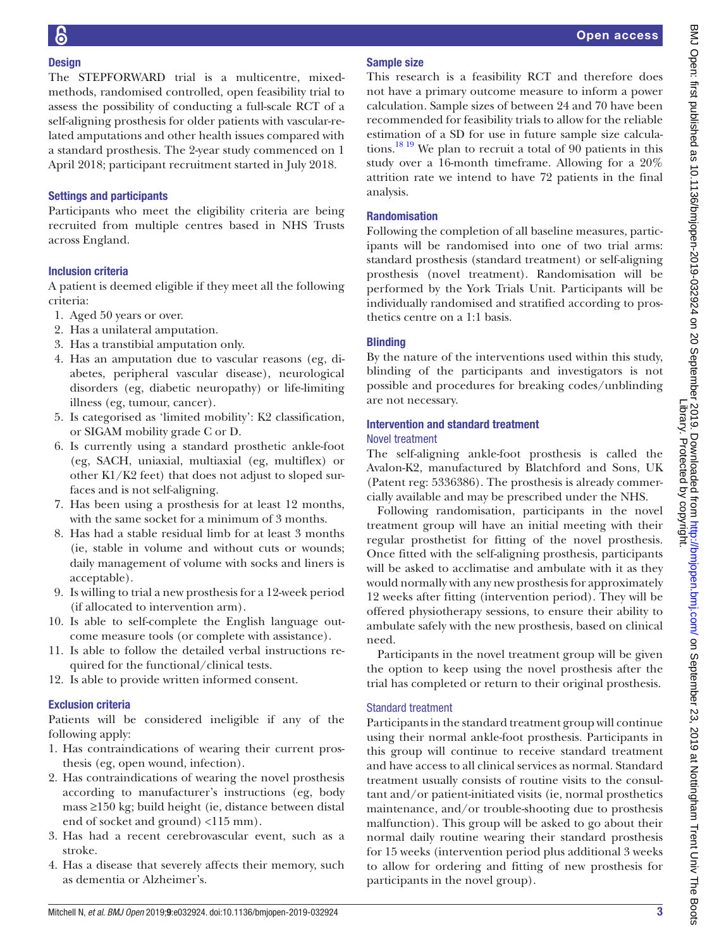**Design** The STEPFORWARD trial is a multicentre, mixedmethods, randomised controlled, open feasibility trial to assess the possibility of conducting a full-scale RCT of a self-aligning prosthesis for older patients with vascular-related amputations and other health issues compared with a standard prosthesis. The 2-year study commenced on 1 April 2018; participant recruitment started in July 2018.

# Settings and participants

Participants who meet the eligibility criteria are being recruited from multiple centres based in NHS Trusts across England.

# Inclusion criteria

A patient is deemed eligible if they meet all the following criteria:

- 1. Aged 50 years or over.
- 2. Has a unilateral amputation.
- 3. Has a transtibial amputation only.
- 4. Has an amputation due to vascular reasons (eg, diabetes, peripheral vascular disease), neurological disorders (eg, diabetic neuropathy) or life-limiting illness (eg, tumour, cancer).
- 5. Is categorised as 'limited mobility': K2 classification, or SIGAM mobility grade C or D.
- 6. Is currently using a standard prosthetic ankle-foot (eg, SACH, uniaxial, multiaxial (eg, multiflex) or other K1/K2 feet) that does not adjust to sloped surfaces and is not self-aligning.
- 7. Has been using a prosthesis for at least 12 months, with the same socket for a minimum of 3 months.
- 8. Has had a stable residual limb for at least 3 months (ie, stable in volume and without cuts or wounds; daily management of volume with socks and liners is acceptable).
- 9. Is willing to trial a new prosthesis for a 12-week period (if allocated to intervention arm).
- 10. Is able to self-complete the English language outcome measure tools (or complete with assistance).
- 11. Is able to follow the detailed verbal instructions required for the functional/clinical tests.
- 12. Is able to provide written informed consent.

# Exclusion criteria

Patients will be considered ineligible if any of the following apply:

- 1. Has contraindications of wearing their current prosthesis (eg, open wound, infection).
- 2. Has contraindications of wearing the novel prosthesis according to manufacturer's instructions (eg, body mass ≥150 kg; build height (ie, distance between distal end of socket and ground) <115 mm).
- 3. Has had a recent cerebrovascular event, such as a stroke.
- 4. Has a disease that severely affects their memory, such as dementia or Alzheimer's.

## Sample size

This research is a feasibility RCT and therefore does not have a primary outcome measure to inform a power calculation. Sample sizes of between 24 and 70 have been recommended for feasibility trials to allow for the reliable estimation of a SD for use in future sample size calculations.[18 19](#page-7-9) We plan to recruit a total of 90 patients in this study over a 16-month timeframe. Allowing for a 20% attrition rate we intend to have 72 patients in the final analysis.

# Randomisation

Following the completion of all baseline measures, participants will be randomised into one of two trial arms: standard prosthesis (standard treatment) or self-aligning prosthesis (novel treatment). Randomisation will be performed by the York Trials Unit. Participants will be individually randomised and stratified according to prosthetics centre on a 1:1 basis.

### **Blinding**

By the nature of the interventions used within this study, blinding of the participants and investigators is not possible and procedures for breaking codes/unblinding are not necessary.

# Intervention and standard treatment

# Novel treatment

The self-aligning ankle-foot prosthesis is called the Avalon-K2, manufactured by Blatchford and Sons, UK (Patent reg: 5336386). The prosthesis is already commercially available and may be prescribed under the NHS.

Following randomisation, participants in the novel treatment group will have an initial meeting with their regular prosthetist for fitting of the novel prosthesis. Once fitted with the self-aligning prosthesis, participants will be asked to acclimatise and ambulate with it as they would normally with any new prosthesis for approximately 12 weeks after fitting (intervention period). They will be offered physiotherapy sessions, to ensure their ability to ambulate safely with the new prosthesis, based on clinical need.

Participants in the novel treatment group will be given the option to keep using the novel prosthesis after the trial has completed or return to their original prosthesis.

# Standard treatment

Participants in the standard treatment group will continue using their normal ankle-foot prosthesis. Participants in this group will continue to receive standard treatment and have access to all clinical services as normal. Standard treatment usually consists of routine visits to the consultant and/or patient-initiated visits (ie, normal prosthetics maintenance, and/or trouble-shooting due to prosthesis malfunction). This group will be asked to go about their normal daily routine wearing their standard prosthesis for 15 weeks (intervention period plus additional 3 weeks to allow for ordering and fitting of new prosthesis for participants in the novel group).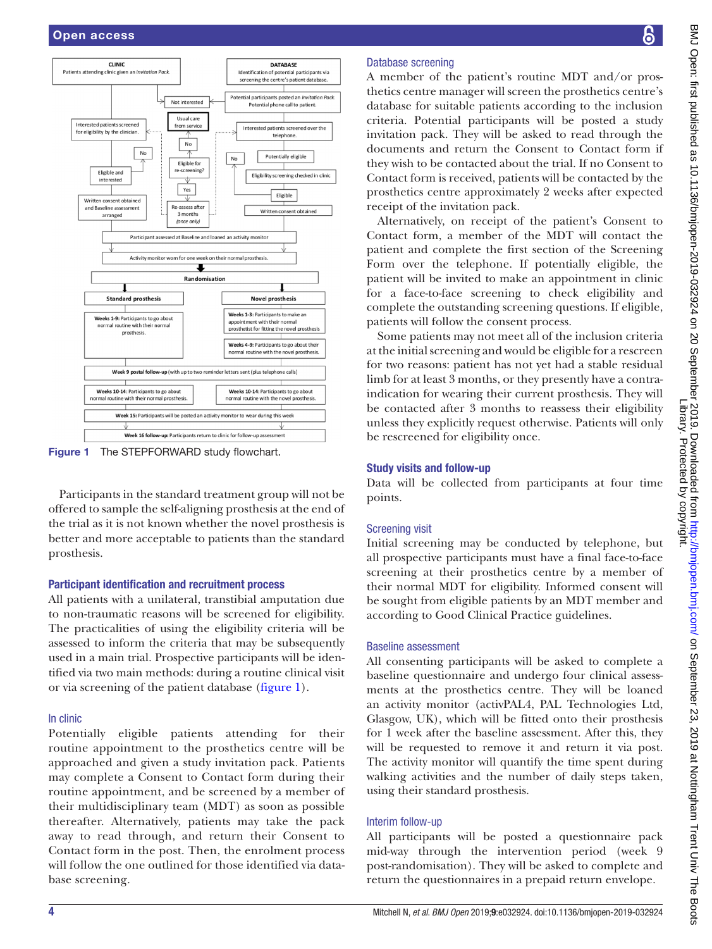

<span id="page-3-0"></span>Figure 1 The STEPFORWARD study flowchart.

Participants in the standard treatment group will not be offered to sample the self-aligning prosthesis at the end of the trial as it is not known whether the novel prosthesis is better and more acceptable to patients than the standard prosthesis.

#### Participant identification and recruitment process

All patients with a unilateral, transtibial amputation due to non-traumatic reasons will be screened for eligibility. The practicalities of using the eligibility criteria will be assessed to inform the criteria that may be subsequently used in a main trial. Prospective participants will be identified via two main methods: during a routine clinical visit or via screening of the patient database [\(figure](#page-3-0) 1).

#### In clinic

Potentially eligible patients attending for their routine appointment to the prosthetics centre will be approached and given a study invitation pack. Patients may complete a Consent to Contact form during their routine appointment, and be screened by a member of their multidisciplinary team (MDT) as soon as possible thereafter. Alternatively, patients may take the pack away to read through, and return their Consent to Contact form in the post. Then, the enrolment process will follow the one outlined for those identified via database screening.

#### Database screening

A member of the patient's routine MDT and/or prosthetics centre manager will screen the prosthetics centre's database for suitable patients according to the inclusion criteria. Potential participants will be posted a study invitation pack. They will be asked to read through the documents and return the Consent to Contact form if they wish to be contacted about the trial. If no Consent to Contact form is received, patients will be contacted by the prosthetics centre approximately 2 weeks after expected receipt of the invitation pack.

Alternatively, on receipt of the patient's Consent to Contact form, a member of the MDT will contact the patient and complete the first section of the Screening Form over the telephone. If potentially eligible, the patient will be invited to make an appointment in clinic for a face-to-face screening to check eligibility and complete the outstanding screening questions. If eligible, patients will follow the consent process.

Some patients may not meet all of the inclusion criteria at the initial screening and would be eligible for a rescreen for two reasons: patient has not yet had a stable residual limb for at least 3 months, or they presently have a contraindication for wearing their current prosthesis. They will be contacted after 3 months to reassess their eligibility unless they explicitly request otherwise. Patients will only be rescreened for eligibility once.

#### Study visits and follow-up

Data will be collected from participants at four time points.

#### Screening visit

Initial screening may be conducted by telephone, but all prospective participants must have a final face-to-face screening at their prosthetics centre by a member of their normal MDT for eligibility. Informed consent will be sought from eligible patients by an MDT member and according to Good Clinical Practice guidelines.

#### Baseline assessment

All consenting participants will be asked to complete a baseline questionnaire and undergo four clinical assessments at the prosthetics centre. They will be loaned an activity monitor (activPAL4, PAL Technologies Ltd, Glasgow, UK), which will be fitted onto their prosthesis for 1 week after the baseline assessment. After this, they will be requested to remove it and return it via post. The activity monitor will quantify the time spent during walking activities and the number of daily steps taken, using their standard prosthesis.

#### Interim follow-up

All participants will be posted a questionnaire pack mid-way through the intervention period (week 9 post-randomisation). They will be asked to complete and return the questionnaires in a prepaid return envelope.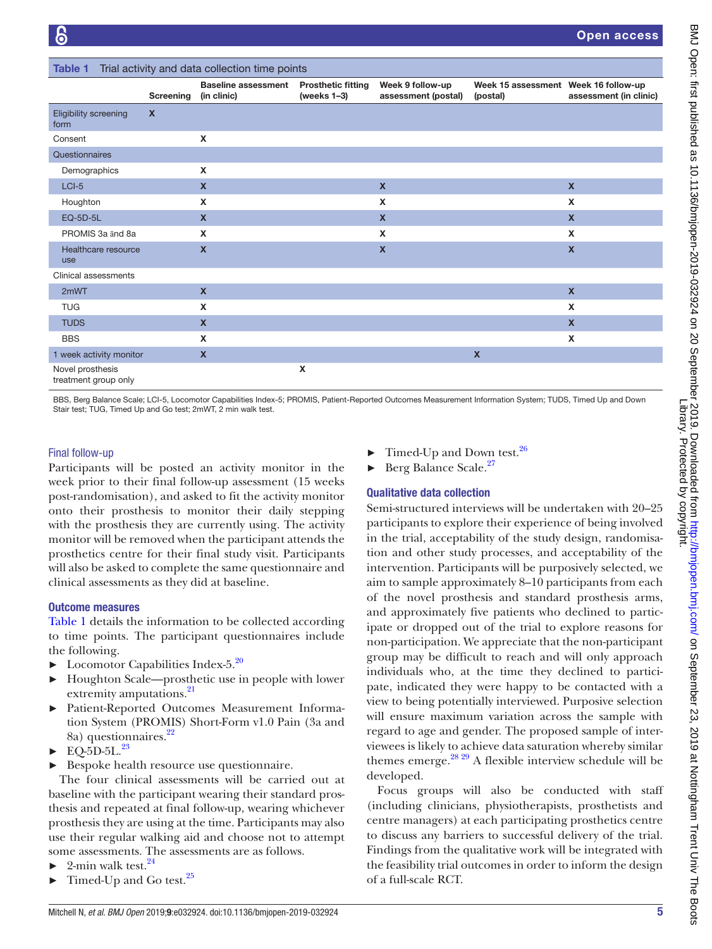<span id="page-4-0"></span>

| Trial activity and data collection time points<br><b>Table 1</b> |                           |                                           |                                          |                                         |                                                  |                           |
|------------------------------------------------------------------|---------------------------|-------------------------------------------|------------------------------------------|-----------------------------------------|--------------------------------------------------|---------------------------|
|                                                                  | Screening                 | <b>Baseline assessment</b><br>(in clinic) | <b>Prosthetic fitting</b><br>(weeks 1-3) | Week 9 follow-up<br>assessment (postal) | Week 15 assessment Week 16 follow-up<br>(postal) | assessment (in clinic)    |
| <b>Eligibility screening</b><br>form                             | $\boldsymbol{\mathsf{x}}$ |                                           |                                          |                                         |                                                  |                           |
| Consent                                                          |                           | $\mathsf{x}$                              |                                          |                                         |                                                  |                           |
| Questionnaires                                                   |                           |                                           |                                          |                                         |                                                  |                           |
| Demographics                                                     |                           | $\boldsymbol{\mathsf{x}}$                 |                                          |                                         |                                                  |                           |
| $LCI-5$                                                          |                           | $\mathbf{x}$                              |                                          | $\mathbf x$                             |                                                  | $\mathbf{x}$              |
| Houghton                                                         |                           | X                                         |                                          | X                                       |                                                  | X                         |
| EQ-5D-5L                                                         |                           | $\mathbf{x}$                              |                                          | $\mathbf{x}$                            |                                                  | $\mathbf{x}$              |
| PROMIS 3a and 8a                                                 |                           | X                                         |                                          | X                                       |                                                  | X                         |
| Healthcare resource<br>use                                       |                           | $\boldsymbol{\mathsf{x}}$                 |                                          | $\boldsymbol{\mathsf{x}}$               |                                                  | $\boldsymbol{\mathsf{x}}$ |
| Clinical assessments                                             |                           |                                           |                                          |                                         |                                                  |                           |
| 2mWT                                                             |                           | $\mathbf{x}$                              |                                          |                                         |                                                  | $\mathbf{x}$              |
| <b>TUG</b>                                                       |                           | X                                         |                                          |                                         |                                                  | X                         |
| <b>TUDS</b>                                                      |                           | $\mathbf x$                               |                                          |                                         |                                                  | $\mathbf{x}$              |
| <b>BBS</b>                                                       |                           | X                                         |                                          |                                         |                                                  | X                         |
| 1 week activity monitor                                          |                           | $\mathbf x$                               |                                          |                                         | $\boldsymbol{\mathsf{x}}$                        |                           |
| Novel prosthesis<br>treatment group only                         |                           |                                           | X                                        |                                         |                                                  |                           |

BBS, Berg Balance Scale; LCI-5, Locomotor Capabilities Index-5; PROMIS, Patient-Reported Outcomes Measurement Information System; TUDS, Timed Up and Down Stair test; TUG, Timed Up and Go test; 2mWT, 2 min walk test.

#### Final follow-up

Participants will be posted an activity monitor in the week prior to their final follow-up assessment (15 weeks post-randomisation), and asked to fit the activity monitor onto their prosthesis to monitor their daily stepping with the prosthesis they are currently using. The activity monitor will be removed when the participant attends the prosthetics centre for their final study visit. Participants will also be asked to complete the same questionnaire and clinical assessments as they did at baseline.

#### Outcome measures

[Table](#page-4-0) 1 details the information to be collected according to time points. The participant questionnaires include the following.

- $\blacktriangleright$  Locomotor Capabilities Index-5.<sup>[20](#page-7-10)</sup>
- ► Houghton Scale—prosthetic use in people with lower extremity amputations.<sup>[21](#page-7-11)</sup>
- Patient-Reported Outcomes Measurement Information System (PROMIS) Short-Form v1.0 Pain (3a and 8a) questionnaires.<sup>22</sup>
- $EQ-5D-5L.<sup>23</sup>$  $EQ-5D-5L.<sup>23</sup>$  $EQ-5D-5L.<sup>23</sup>$
- Bespoke health resource use questionnaire.

The four clinical assessments will be carried out at baseline with the participant wearing their standard prosthesis and repeated at final follow-up, wearing whichever prosthesis they are using at the time. Participants may also use their regular walking aid and choose not to attempt some assessments. The assessments are as follows.

- 2-min walk test. $24$
- Timed-Up and Go test.<sup>[25](#page-7-15)</sup>
- Timed-Up and Down test.<sup>[26](#page-7-16)</sup>
- Berg Balance Scale.<sup>[27](#page-7-17)</sup>

#### Qualitative data collection

Semi-structured interviews will be undertaken with 20–25 participants to explore their experience of being involved in the trial, acceptability of the study design, randomisation and other study processes, and acceptability of the intervention. Participants will be purposively selected, we aim to sample approximately 8–10 participants from each of the novel prosthesis and standard prosthesis arms, and approximately five patients who declined to participate or dropped out of the trial to explore reasons for non-participation. We appreciate that the non-participant group may be difficult to reach and will only approach individuals who, at the time they declined to participate, indicated they were happy to be contacted with a view to being potentially interviewed. Purposive selection will ensure maximum variation across the sample with regard to age and gender. The proposed sample of interviewees is likely to achieve data saturation whereby similar themes emerge. $2829$  A flexible interview schedule will be developed.

Focus groups will also be conducted with staff (including clinicians, physiotherapists, prosthetists and centre managers) at each participating prosthetics centre to discuss any barriers to successful delivery of the trial. Findings from the qualitative work will be integrated with the feasibility trial outcomes in order to inform the design of a full-scale RCT.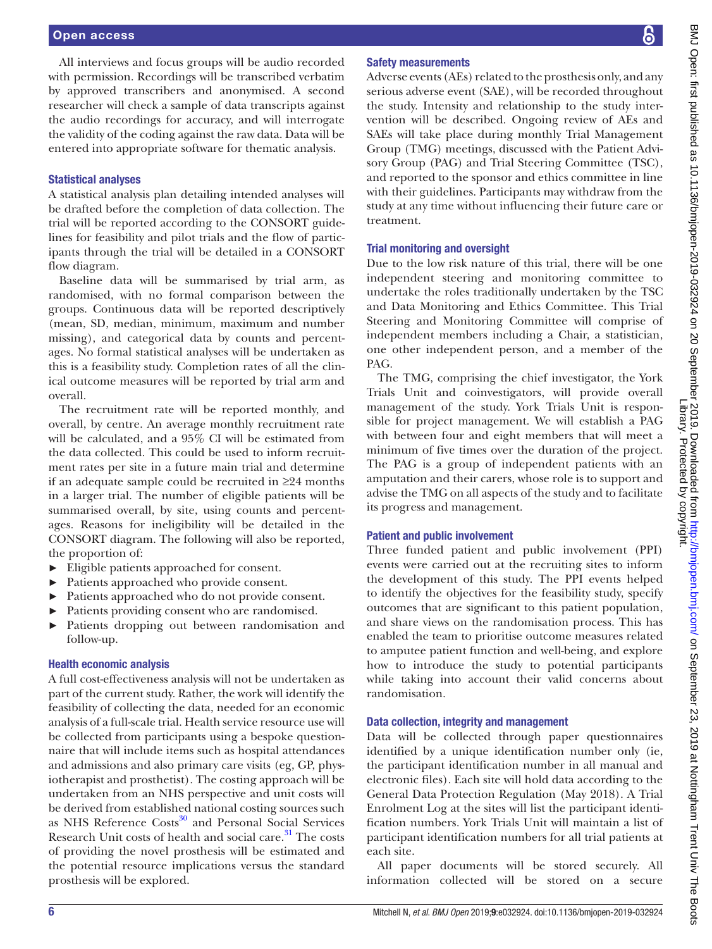All interviews and focus groups will be audio recorded with permission. Recordings will be transcribed verbatim by approved transcribers and anonymised. A second researcher will check a sample of data transcripts against the audio recordings for accuracy, and will interrogate the validity of the coding against the raw data. Data will be entered into appropriate software for thematic analysis.

#### Statistical analyses

A statistical analysis plan detailing intended analyses will be drafted before the completion of data collection. The trial will be reported according to the CONSORT guidelines for feasibility and pilot trials and the flow of participants through the trial will be detailed in a CONSORT flow diagram.

Baseline data will be summarised by trial arm, as randomised, with no formal comparison between the groups. Continuous data will be reported descriptively (mean, SD, median, minimum, maximum and number missing), and categorical data by counts and percentages. No formal statistical analyses will be undertaken as this is a feasibility study. Completion rates of all the clinical outcome measures will be reported by trial arm and overall.

The recruitment rate will be reported monthly, and overall, by centre. An average monthly recruitment rate will be calculated, and a 95% CI will be estimated from the data collected. This could be used to inform recruitment rates per site in a future main trial and determine if an adequate sample could be recruited in ≥24 months in a larger trial. The number of eligible patients will be summarised overall, by site, using counts and percentages. Reasons for ineligibility will be detailed in the CONSORT diagram. The following will also be reported, the proportion of:

- ► Eligible patients approached for consent.
- ► Patients approached who provide consent.
- Patients approached who do not provide consent.
- ► Patients providing consent who are randomised.
- Patients dropping out between randomisation and follow-up.

#### Health economic analysis

A full cost-effectiveness analysis will not be undertaken as part of the current study. Rather, the work will identify the feasibility of collecting the data, needed for an economic analysis of a full-scale trial. Health service resource use will be collected from participants using a bespoke questionnaire that will include items such as hospital attendances and admissions and also primary care visits (eg, GP, physiotherapist and prosthetist). The costing approach will be undertaken from an NHS perspective and unit costs will be derived from established national costing sources such as NHS Reference Costs<sup>30</sup> and Personal Social Services Research Unit costs of health and social care.<sup>31</sup> The costs of providing the novel prosthesis will be estimated and the potential resource implications versus the standard prosthesis will be explored.

#### Safety measurements

Adverse events (AEs) related to the prosthesis only, and any serious adverse event (SAE), will be recorded throughout the study. Intensity and relationship to the study intervention will be described. Ongoing review of AEs and SAEs will take place during monthly Trial Management Group (TMG) meetings, discussed with the Patient Advisory Group (PAG) and Trial Steering Committee (TSC), and reported to the sponsor and ethics committee in line with their guidelines. Participants may withdraw from the study at any time without influencing their future care or treatment.

#### Trial monitoring and oversight

Due to the low risk nature of this trial, there will be one independent steering and monitoring committee to undertake the roles traditionally undertaken by the TSC and Data Monitoring and Ethics Committee. This Trial Steering and Monitoring Committee will comprise of independent members including a Chair, a statistician, one other independent person, and a member of the PAG.

The TMG, comprising the chief investigator, the York Trials Unit and coinvestigators, will provide overall management of the study. York Trials Unit is responsible for project management. We will establish a PAG with between four and eight members that will meet a minimum of five times over the duration of the project. The PAG is a group of independent patients with an amputation and their carers, whose role is to support and advise the TMG on all aspects of the study and to facilitate its progress and management.

#### Patient and public involvement

Three funded patient and public involvement (PPI) events were carried out at the recruiting sites to inform the development of this study. The PPI events helped to identify the objectives for the feasibility study, specify outcomes that are significant to this patient population, and share views on the randomisation process. This has enabled the team to prioritise outcome measures related to amputee patient function and well-being, and explore how to introduce the study to potential participants while taking into account their valid concerns about randomisation.

#### Data collection, integrity and management

Data will be collected through paper questionnaires identified by a unique identification number only (ie, the participant identification number in all manual and electronic files). Each site will hold data according to the General Data Protection Regulation (May 2018). A Trial Enrolment Log at the sites will list the participant identification numbers. York Trials Unit will maintain a list of participant identification numbers for all trial patients at each site.

All paper documents will be stored securely. All information collected will be stored on a secure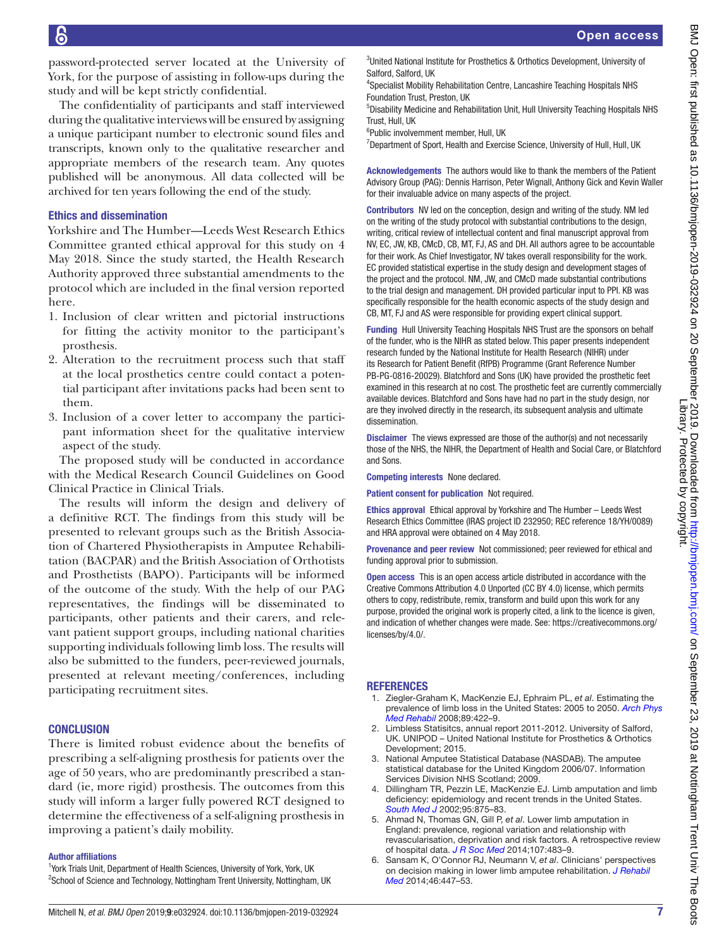password-protected server located at the University of York, for the purpose of assisting in follow-ups during the study and will be kept strictly confidential.

The confidentiality of participants and staff interviewed during the qualitative interviews will be ensured by assigning a unique participant number to electronic sound files and transcripts, known only to the qualitative researcher and appropriate members of the research team. Any quotes published will be anonymous. All data collected will be archived for ten years following the end of the study.

#### Ethics and dissemination

Yorkshire and The Humber—Leeds West Research Ethics Committee granted ethical approval for this study on 4 May 2018. Since the study started, the Health Research Authority approved three substantial amendments to the protocol which are included in the final version reported here.

- 1. Inclusion of clear written and pictorial instructions for fitting the activity monitor to the participant's prosthesis.
- 2. Alteration to the recruitment process such that staff at the local prosthetics centre could contact a potential participant after invitations packs had been sent to them.
- 3. Inclusion of a cover letter to accompany the participant information sheet for the qualitative interview aspect of the study.

The proposed study will be conducted in accordance with the Medical Research Council Guidelines on Good Clinical Practice in Clinical Trials.

The results will inform the design and delivery of a definitive RCT. The findings from this study will be presented to relevant groups such as the British Association of Chartered Physiotherapists in Amputee Rehabilitation (BACPAR) and the British Association of Orthotists and Prosthetists (BAPO). Participants will be informed of the outcome of the study. With the help of our PAG representatives, the findings will be disseminated to participants, other patients and their carers, and relevant patient support groups, including national charities supporting individuals following limb loss. The results will also be submitted to the funders, peer-reviewed journals, presented at relevant meeting/conferences, including participating recruitment sites.

#### **CONCLUSION**

There is limited robust evidence about the benefits of prescribing a self-aligning prosthesis for patients over the age of 50 years, who are predominantly prescribed a standard (ie, more rigid) prosthesis. The outcomes from this study will inform a larger fully powered RCT designed to determine the effectiveness of a self-aligning prosthesis in improving a patient's daily mobility.

#### Author affiliations

<sup>1</sup>York Trials Unit, Department of Health Sciences, University of York, York, UK <sup>2</sup>School of Science and Technology, Nottingham Trent University, Nottingham, UK <sup>3</sup>United National Institute for Prosthetics & Orthotics Development, University of Salford, Salford, UK

4 Specialist Mobility Rehabilitation Centre, Lancashire Teaching Hospitals NHS Foundation Trust, Preston, UK

5 Disability Medicine and Rehabilitation Unit, Hull University Teaching Hospitals NHS Trust, Hull, UK

6 Public involvemment member, Hull, UK

<sup>7</sup>Department of Sport, Health and Exercise Science, University of Hull, Hull, UK

Acknowledgements The authors would like to thank the members of the Patient Advisory Group (PAG): Dennis Harrison, Peter Wignall, Anthony Gick and Kevin Waller for their invaluable advice on many aspects of the project.

Contributors NV led on the conception, design and writing of the study. NM led on the writing of the study protocol with substantial contributions to the design, writing, critical review of intellectual content and final manuscript approval from NV, EC, JW, KB, CMcD, CB, MT, FJ, AS and DH. All authors agree to be accountable for their work. As Chief Investigator, NV takes overall responsibility for the work. EC provided statistical expertise in the study design and development stages of the project and the protocol. NM, JW, and CMcD made substantial contributions to the trial design and management. DH provided particular input to PPI. KB was specifically responsible for the health economic aspects of the study design and CB, MT, FJ and AS were responsible for providing expert clinical support.

Funding Hull University Teaching Hospitals NHS Trust are the sponsors on behalf of the funder, who is the NIHR as stated below. This paper presents independent research funded by the National Institute for Health Research (NIHR) under its Research for Patient Benefit (RfPB) Programme (Grant Reference Number PB-PG-0816-20029). Blatchford and Sons (UK) have provided the prosthetic feet examined in this research at no cost. The prosthetic feet are currently commercially available devices. Blatchford and Sons have had no part in the study design, nor are they involved directly in the research, its subsequent analysis and ultimate dissemination.

Disclaimer The views expressed are those of the author(s) and not necessarily those of the NHS, the NIHR, the Department of Health and Social Care, or Blatchford and Sons.

Competing interests None declared.

Patient consent for publication Not required.

Ethics approval Ethical approval by Yorkshire and The Humber – Leeds West Research Ethics Committee (IRAS project ID 232950; REC reference 18/YH/0089) and HRA approval were obtained on 4 May 2018.

Provenance and peer review Not commissioned; peer reviewed for ethical and funding approval prior to submission.

Open access This is an open access article distributed in accordance with the Creative Commons Attribution 4.0 Unported (CC BY 4.0) license, which permits others to copy, redistribute, remix, transform and build upon this work for any purpose, provided the original work is properly cited, a link to the licence is given, and indication of whether changes were made. See: [https://creativecommons.org/](https://creativecommons.org/licenses/by/4.0/) [licenses/by/4.0/](https://creativecommons.org/licenses/by/4.0/).

#### **REFERENCES**

- <span id="page-6-0"></span>1. Ziegler-Graham K, MacKenzie EJ, Ephraim PL, *et al*. Estimating the prevalence of limb loss in the United States: 2005 to 2050. *[Arch Phys](http://dx.doi.org/10.1016/j.apmr.2007.11.005)  [Med Rehabil](http://dx.doi.org/10.1016/j.apmr.2007.11.005)* 2008;89:422–9.
- <span id="page-6-1"></span>2. Limbless Statisitcs, annual report 2011-2012. University of Salford, UK. UNIPOD – United National Institute for Prosthetics & Orthotics Development; 2015.
- <span id="page-6-2"></span>3. National Amputee Statistical Database (NASDAB). The amputee statistical database for the United Kingdom 2006/07. Information Services Division NHS Scotland; 2009.
- 4. Dillingham TR, Pezzin LE, MacKenzie EJ. Limb amputation and limb deficiency: epidemiology and recent trends in the United States. *[South Med J](http://dx.doi.org/10.1097/00007611-200208000-00018)* 2002;95:875–83.
- <span id="page-6-3"></span>5. Ahmad N, Thomas GN, Gill P, *et al*. Lower limb amputation in England: prevalence, regional variation and relationship with revascularisation, deprivation and risk factors. A retrospective review of hospital data. *[J R Soc Med](http://dx.doi.org/10.1177/0141076814557301)* 2014;107:483–9.
- <span id="page-6-4"></span>6. Sansam K, O'Connor RJ, Neumann V, *et al*. Clinicians' perspectives on decision making in lower limb amputee rehabilitation. *[J Rehabil](http://dx.doi.org/10.2340/16501977-1791)  [Med](http://dx.doi.org/10.2340/16501977-1791)* 2014;46:447–53.